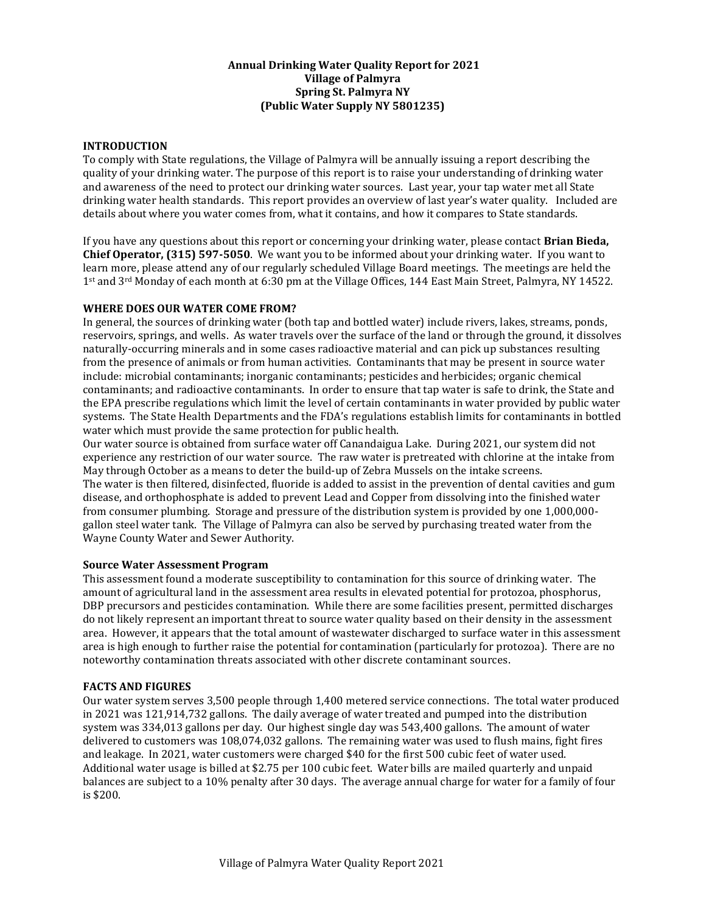## **Annual Drinking Water Quality Report for 2021 Village of Palmyra Spring St. Palmyra NY (Public Water Supply NY 5801235)**

## **INTRODUCTION**

To comply with State regulations, the Village of Palmyra will be annually issuing a report describing the quality of your drinking water. The purpose of this report is to raise your understanding of drinking water and awareness of the need to protect our drinking water sources. Last year, your tap water met all State drinking water health standards. This report provides an overview of last year's water quality. Included are details about where you water comes from, what it contains, and how it compares to State standards.

If you have any questions about this report or concerning your drinking water, please contact **Brian Bieda, Chief Operator, (315) 597-5050**. We want you to be informed about your drinking water. If you want to learn more, please attend any of our regularly scheduled Village Board meetings. The meetings are held the 1st and 3rd Monday of each month at 6:30 pm at the Village Offices, 144 East Main Street, Palmyra, NY 14522.

## **WHERE DOES OUR WATER COME FROM?**

In general, the sources of drinking water (both tap and bottled water) include rivers, lakes, streams, ponds, reservoirs, springs, and wells. As water travels over the surface of the land or through the ground, it dissolves naturally-occurring minerals and in some cases radioactive material and can pick up substances resulting from the presence of animals or from human activities. Contaminants that may be present in source water include: microbial contaminants; inorganic contaminants; pesticides and herbicides; organic chemical contaminants; and radioactive contaminants. In order to ensure that tap water is safe to drink, the State and the EPA prescribe regulations which limit the level of certain contaminants in water provided by public water systems. The State Health Departments and the FDA's regulations establish limits for contaminants in bottled water which must provide the same protection for public health.

Our water source is obtained from surface water off Canandaigua Lake. During 2021, our system did not experience any restriction of our water source. The raw water is pretreated with chlorine at the intake from May through October as a means to deter the build-up of Zebra Mussels on the intake screens. The water is then filtered, disinfected, fluoride is added to assist in the prevention of dental cavities and gum disease, and orthophosphate is added to prevent Lead and Copper from dissolving into the finished water from consumer plumbing. Storage and pressure of the distribution system is provided by one 1,000,000 gallon steel water tank. The Village of Palmyra can also be served by purchasing treated water from the Wayne County Water and Sewer Authority.

## **Source Water Assessment Program**

This assessment found a moderate susceptibility to contamination for this source of drinking water. The amount of agricultural land in the assessment area results in elevated potential for protozoa, phosphorus, DBP precursors and pesticides contamination. While there are some facilities present, permitted discharges do not likely represent an important threat to source water quality based on their density in the assessment area. However, it appears that the total amount of wastewater discharged to surface water in this assessment area is high enough to further raise the potential for contamination (particularly for protozoa). There are no noteworthy contamination threats associated with other discrete contaminant sources.

## **FACTS AND FIGURES**

Our water system serves 3,500 people through 1,400 metered service connections. The total water produced in 2021 was 121,914,732 gallons. The daily average of water treated and pumped into the distribution system was 334,013 gallons per day. Our highest single day was 543,400 gallons. The amount of water delivered to customers was 108,074,032 gallons. The remaining water was used to flush mains, fight fires and leakage. In 2021, water customers were charged \$40 for the first 500 cubic feet of water used. Additional water usage is billed at \$2.75 per 100 cubic feet. Water bills are mailed quarterly and unpaid balances are subject to a 10% penalty after 30 days. The average annual charge for water for a family of four is \$200.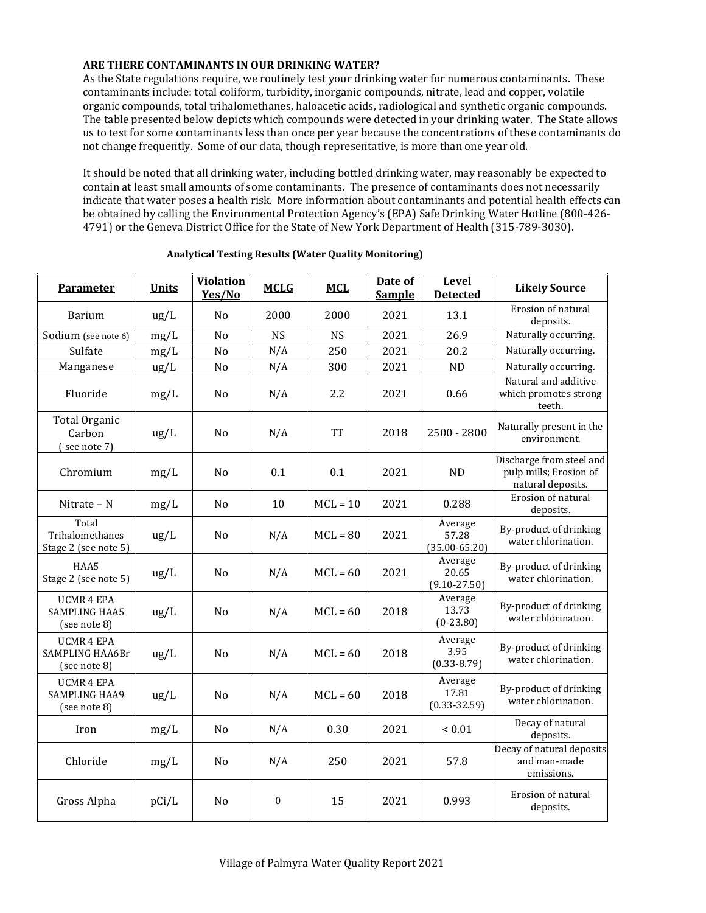# **ARE THERE CONTAMINANTS IN OUR DRINKING WATER?**

As the State regulations require, we routinely test your drinking water for numerous contaminants. These contaminants include: total coliform, turbidity, inorganic compounds, nitrate, lead and copper, volatile organic compounds, total trihalomethanes, haloacetic acids, radiological and synthetic organic compounds. The table presented below depicts which compounds were detected in your drinking water. The State allows us to test for some contaminants less than once per year because the concentrations of these contaminants do not change frequently. Some of our data, though representative, is more than one year old.

It should be noted that all drinking water, including bottled drinking water, may reasonably be expected to contain at least small amounts of some contaminants. The presence of contaminants does not necessarily indicate that water poses a health risk. More information about contaminants and potential health effects can be obtained by calling the Environmental Protection Agency's (EPA) Safe Drinking Water Hotline (800-426- 4791) or the Geneva District Office for the State of New York Department of Health (315-789-3030).

| <b>Parameter</b>                                          | <b>Units</b>  | <b>Violation</b><br>Yes/No | <b>MCLG</b>      | <b>MCL</b> | Date of<br><b>Sample</b> | Level<br><b>Detected</b>              | <b>Likely Source</b>                                                    |
|-----------------------------------------------------------|---------------|----------------------------|------------------|------------|--------------------------|---------------------------------------|-------------------------------------------------------------------------|
| Barium                                                    | $\frac{u}{L}$ | No                         | 2000             | 2000       | 2021                     | 13.1                                  | Erosion of natural<br>deposits.                                         |
| Sodium (see note 6)                                       | mg/L          | No                         | <b>NS</b>        | <b>NS</b>  | 2021                     | 26.9                                  | Naturally occurring.                                                    |
| Sulfate                                                   | mg/L          | No                         | N/A              | 250        | 2021                     | 20.2                                  | Naturally occurring.                                                    |
| Manganese                                                 | $\frac{u}{L}$ | No                         | N/A              | 300        | 2021                     | <b>ND</b>                             | Naturally occurring.                                                    |
| Fluoride                                                  | mg/L          | No                         | N/A              | 2.2        | 2021                     | 0.66                                  | Natural and additive<br>which promotes strong<br>teeth.                 |
| Total Organic<br>Carbon<br>$($ see note $7)$              | ug/L          | No                         | N/A              | <b>TT</b>  | 2018                     | 2500 - 2800                           | Naturally present in the<br>environment.                                |
| Chromium                                                  | mg/L          | No                         | 0.1              | 0.1        | 2021                     | <b>ND</b>                             | Discharge from steel and<br>pulp mills; Erosion of<br>natural deposits. |
| Nitrate – N                                               | mg/L          | No                         | 10               | $MCL = 10$ | 2021                     | 0.288                                 | Erosion of natural<br>deposits.                                         |
| Total<br>Trihalomethanes<br>Stage 2 (see note 5)          | ug/L          | No                         | N/A              | $MCL = 80$ | 2021                     | Average<br>57.28<br>$(35.00 - 65.20)$ | By-product of drinking<br>water chlorination.                           |
| HAA5<br>Stage 2 (see note 5)                              | ug/L          | No                         | N/A              | $MCL = 60$ | 2021                     | Average<br>20.65<br>$(9.10 - 27.50)$  | By-product of drinking<br>water chlorination.                           |
| <b>UCMR 4 EPA</b><br><b>SAMPLING HAA5</b><br>(see note 8) | $\text{ug/L}$ | No                         | N/A              | $MCL = 60$ | 2018                     | Average<br>13.73<br>$(0-23.80)$       | By-product of drinking<br>water chlorination.                           |
| <b>UCMR 4 EPA</b><br>SAMPLING HAA6Br<br>(see note 8)      | ug/L          | No                         | N/A              | $MCL = 60$ | 2018                     | Average<br>3.95<br>$(0.33 - 8.79)$    | By-product of drinking<br>water chlorination.                           |
| <b>UCMR 4 EPA</b><br><b>SAMPLING HAA9</b><br>(see note 8) | ug/L          | No                         | N/A              | $MCL = 60$ | 2018                     | Average<br>17.81<br>$(0.33 - 32.59)$  | By-product of drinking<br>water chlorination.                           |
| Iron                                                      | mg/L          | No                         | N/A              | 0.30       | 2021                     | ${}_{0.01}$                           | Decay of natural<br>deposits.                                           |
| Chloride                                                  | mg/L          | No                         | N/A              | 250        | 2021                     | 57.8                                  | Decay of natural deposits<br>and man-made<br>emissions.                 |
| Gross Alpha                                               | pCi/L         | No                         | $\boldsymbol{0}$ | 15         | 2021                     | 0.993                                 | Erosion of natural<br>deposits.                                         |

#### **Analytical Testing Results (Water Quality Monitoring)**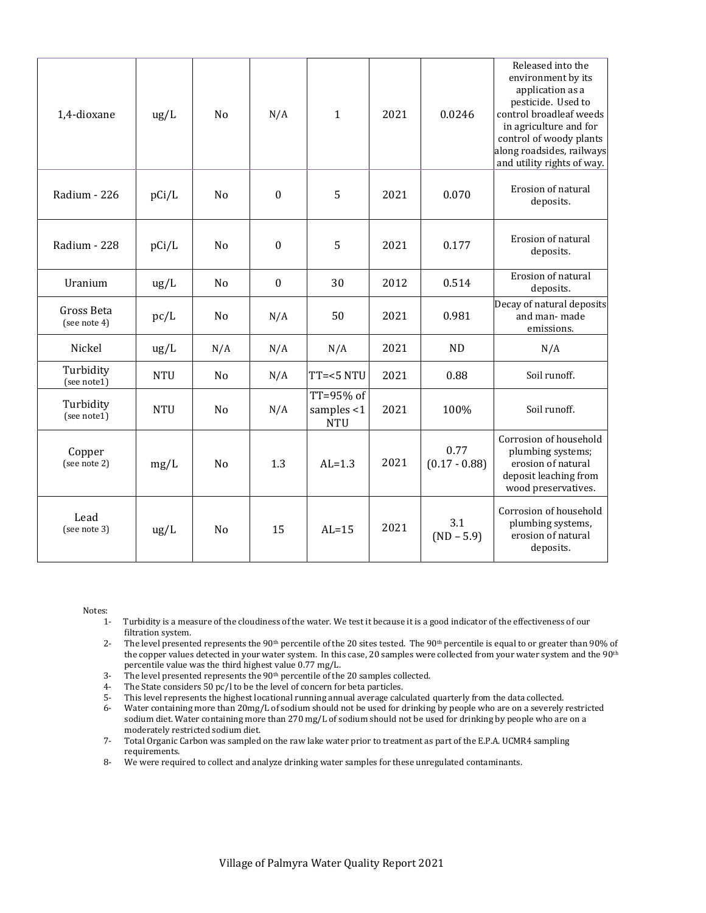| 1,4-dioxane                | ug/L       | N <sub>o</sub> | N/A              | $\mathbf{1}$                             | 2021 | 0.0246                  | Released into the<br>environment by its<br>application as a<br>pesticide. Used to<br>control broadleaf weeds<br>in agriculture and for<br>control of woody plants<br>along roadsides, railways<br>and utility rights of way. |
|----------------------------|------------|----------------|------------------|------------------------------------------|------|-------------------------|------------------------------------------------------------------------------------------------------------------------------------------------------------------------------------------------------------------------------|
| Radium - 226               | pCi/L      | No             | $\theta$         | 5                                        | 2021 | 0.070                   | Erosion of natural<br>deposits.                                                                                                                                                                                              |
| Radium - 228               | pCi/L      | No             | $\boldsymbol{0}$ | 5                                        | 2021 | 0.177                   | Erosion of natural<br>deposits.                                                                                                                                                                                              |
| Uranium                    | ug/L       | N <sub>o</sub> | $\boldsymbol{0}$ | 30                                       | 2012 | 0.514                   | Erosion of natural<br>deposits.                                                                                                                                                                                              |
| Gross Beta<br>(see note 4) | pc/L       | No             | N/A              | 50                                       | 2021 | 0.981                   | Decay of natural deposits<br>and man-made<br>emissions.                                                                                                                                                                      |
| Nickel                     | ug/L       | N/A            | N/A              | N/A                                      | 2021 | <b>ND</b>               | N/A                                                                                                                                                                                                                          |
| Turbidity<br>(see note1)   | <b>NTU</b> | No             | N/A              | $TT=<5 NTU$                              | 2021 | 0.88                    | Soil runoff.                                                                                                                                                                                                                 |
| Turbidity<br>(see note1)   | <b>NTU</b> | N <sub>o</sub> | N/A              | TT=95% of<br>samples $<$ 1<br><b>NTU</b> | 2021 | 100%                    | Soil runoff.                                                                                                                                                                                                                 |
| Copper<br>(see note 2)     | mg/L       | N <sub>o</sub> | 1.3              | $AL=1.3$                                 | 2021 | 0.77<br>$(0.17 - 0.88)$ | Corrosion of household<br>plumbing systems;<br>erosion of natural<br>deposit leaching from<br>wood preservatives.                                                                                                            |
| Lead<br>(see note 3)       | ug/L       | No             | 15               | $AL=15$                                  | 2021 | 3.1<br>$(ND - 5.9)$     | Corrosion of household<br>plumbing systems,<br>erosion of natural<br>deposits.                                                                                                                                               |

Notes:

- 1- Turbidity is a measure of the cloudiness of the water. We test it because it is a good indicator of the effectiveness of our filtration system.
- 2- The level presented represents the 90<sup>th</sup> percentile of the 20 sites tested. The 90<sup>th</sup> percentile is equal to or greater than 90% of the copper values detected in your water system. In this case, 20 samples were collected from your water system and the 90<sup>th</sup> percentile value was the third highest value 0.77 mg/L.
- 3- The level presented represents the  $90<sup>th</sup>$  percentile of the 20 samples collected.
- 4- The State considers 50 pc/l to be the level of concern for beta particles.
- 5- This level represents the highest locational running annual average calculated quarterly from the data collected.
- 6- Water containing more than 20mg/L of sodium should not be used for drinking by people who are on a severely restricted sodium diet. Water containing more than 270 mg/L of sodium should not be used for drinking by people who are on a moderately restricted sodium diet.
- 7- Total Organic Carbon was sampled on the raw lake water prior to treatment as part of the E.P.A. UCMR4 sampling requirements.
- 8- We were required to collect and analyze drinking water samples for these unregulated contaminants.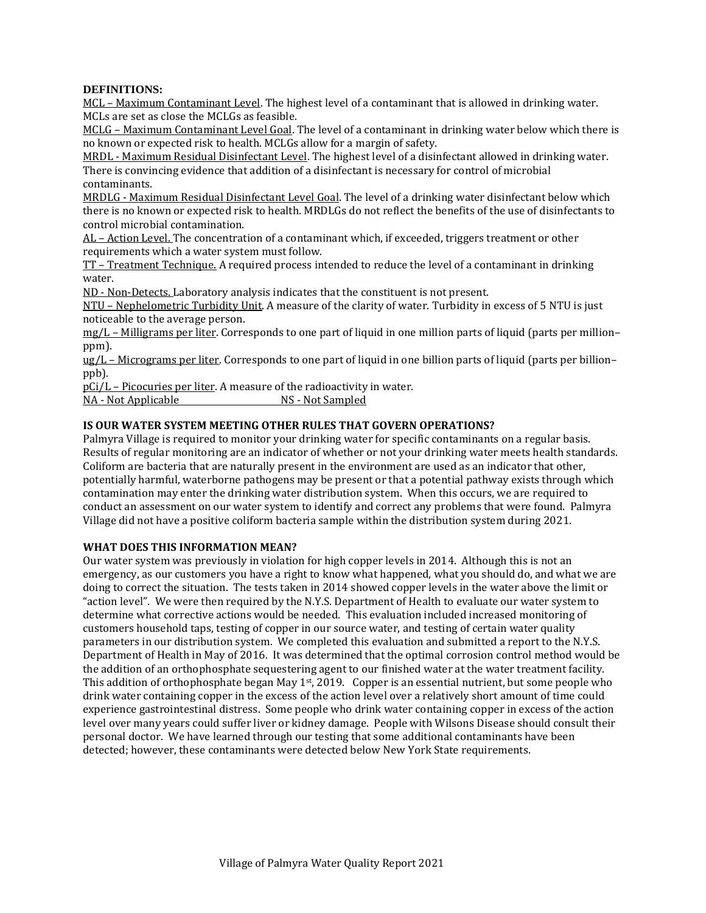#### **DEFINITIONS:**

MCL – Maximum Contaminant Level. The highest level of a contaminant that is allowed in drinking water. MCLs are set as close the MCLGs as feasible.

MCLG – Maximum Contaminant Level Goal. The level of a contaminant in drinking water below which there is no known or expected risk to health. MCLGs allow for a margin of safety.

MRDL - Maximum Residual Disinfectant Level. The highest level of a disinfectant allowed in drinking water. There is convincing evidence that addition of a disinfectant is necessary for control of microbial contaminants.

MRDLG - Maximum Residual Disinfectant Level Goal. The level of a drinking water disinfectant below which there is no known or expected risk to health. MRDLGs do not reflect the benefits of the use of disinfectants to control microbial contamination.

AL – Action Level. The concentration of a contaminant which, if exceeded, triggers treatment or other requirements which a water system must follow.

TT – Treatment Technique. A required process intended to reduce the level of a contaminant in drinking water.

ND - Non-Detects. Laboratory analysis indicates that the constituent is not present.

NTU – Nephelometric Turbidity Unit. A measure of the clarity of water. Turbidity in excess of 5 NTU is just noticeable to the average person.

mg/L – Milligrams per liter. Corresponds to one part of liquid in one million parts of liquid (parts per million– ppm).

ug/L – Micrograms per liter. Corresponds to one part of liquid in one billion parts of liquid (parts per billion– ppb).

pCi/L – Picocuries per liter. A measure of the radioactivity in water.

NA - Not Applicable NS - Not Sampled

# **IS OUR WATER SYSTEM MEETING OTHER RULES THAT GOVERN OPERATIONS?**

Palmyra Village is required to monitor your drinking water for specific contaminants on a regular basis. Results of regular monitoring are an indicator of whether or not your drinking water meets health standards. Coliform are bacteria that are naturally present in the environment are used as an indicator that other, potentially harmful, waterborne pathogens may be present or that a potential pathway exists through which contamination may enter the drinking water distribution system. When this occurs, we are required to conduct an assessment on our water system to identify and correct any problems that were found. Palmyra Village did not have a positive coliform bacteria sample within the distribution system during 2021.

#### **WHAT DOES THIS INFORMATION MEAN?**

Our water system was previously in violation for high copper levels in 2014. Although this is not an emergency, as our customers you have a right to know what happened, what you should do, and what we are doing to correct the situation. The tests taken in 2014 showed copper levels in the water above the limit or "action level". We were then required by the N.Y.S. Department of Health to evaluate our water system to determine what corrective actions would be needed. This evaluation included increased monitoring of customers household taps, testing of copper in our source water, and testing of certain water quality parameters in our distribution system. We completed this evaluation and submitted a report to the N.Y.S. Department of Health in May of 2016. It was determined that the optimal corrosion control method would be the addition of an orthophosphate sequestering agent to our finished water at the water treatment facility. This addition of orthophosphate began May 1<sup>st</sup>, 2019. Copper is an essential nutrient, but some people who drink water containing copper in the excess of the action level over a relatively short amount of time could experience gastrointestinal distress. Some people who drink water containing copper in excess of the action level over many years could suffer liver or kidney damage. People with Wilsons Disease should consult their personal doctor. We have learned through our testing that some additional contaminants have been detected; however, these contaminants were detected below New York State requirements.